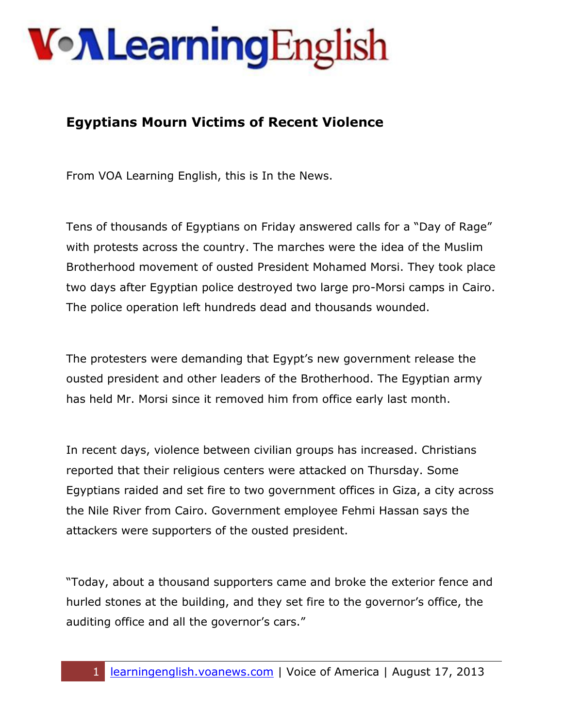## **Von Learning English**

## **Egyptians Mourn Victims of Recent Violence**

From VOA Learning English, this is In the News.

Tens of thousands of Egyptians on Friday answered calls for a "Day of Rage" with protests across the country. The marches were the idea of the Muslim Brotherhood movement of ousted President Mohamed Morsi. They took place two days after Egyptian police destroyed two large pro-Morsi camps in Cairo. The police operation left hundreds dead and thousands wounded.

The protesters were demanding that Egypt's new government release the ousted president and other leaders of the Brotherhood. The Egyptian army has held Mr. Morsi since it removed him from office early last month.

In recent days, violence between civilian groups has increased. Christians reported that their religious centers were attacked on Thursday. Some Egyptians raided and set fire to two government offices in Giza, a city across the Nile River from Cairo. Government employee Fehmi Hassan says the attackers were supporters of the ousted president.

"Today, about a thousand supporters came and broke the exterior fence and hurled stones at the building, and they set fire to the governor's office, the auditing office and all the governor's cars."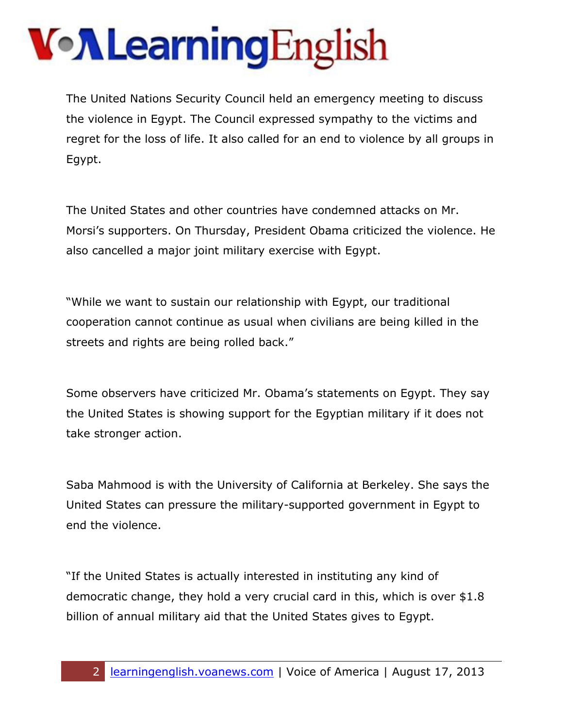## **Von Learning English**

The United Nations Security Council held an emergency meeting to discuss the violence in Egypt. The Council expressed sympathy to the victims and regret for the loss of life. It also called for an end to violence by all groups in Egypt.

The United States and other countries have condemned attacks on Mr. Morsi's supporters. On Thursday, President Obama criticized the violence. He also cancelled a major joint military exercise with Egypt.

"While we want to sustain our relationship with Egypt, our traditional cooperation cannot continue as usual when civilians are being killed in the streets and rights are being rolled back."

Some observers have criticized Mr. Obama's statements on Egypt. They say the United States is showing support for the Egyptian military if it does not take stronger action.

Saba Mahmood is with the University of California at Berkeley. She says the United States can pressure the military-supported government in Egypt to end the violence.

"If the United States is actually interested in instituting any kind of democratic change, they hold a very crucial card in this, which is over \$1.8 billion of annual military aid that the United States gives to Egypt.